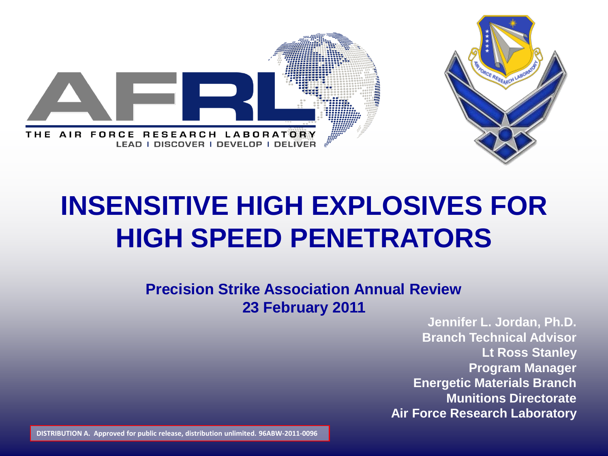

## **INSENSITIVE HIGH EXPLOSIVES FOR HIGH SPEED PENETRATORS**

## **Precision Strike Association Annual Review 23 February 2011**

**Jennifer L. Jordan, Ph.D. Branch Technical Advisor Lt Ross Stanley Program Manager Energetic Materials Branch Munitions Directorate Air Force Research Laboratory**

**DISTRIBUTION A. Approved for public release, distribution unlimited. 96ABW-2011-0096**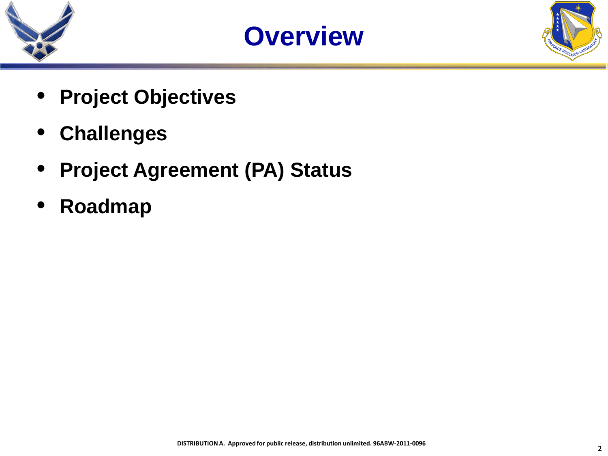





- **Project Objectives**
- **Challenges**
- **Project Agreement (PA) Status**
- **Roadmap**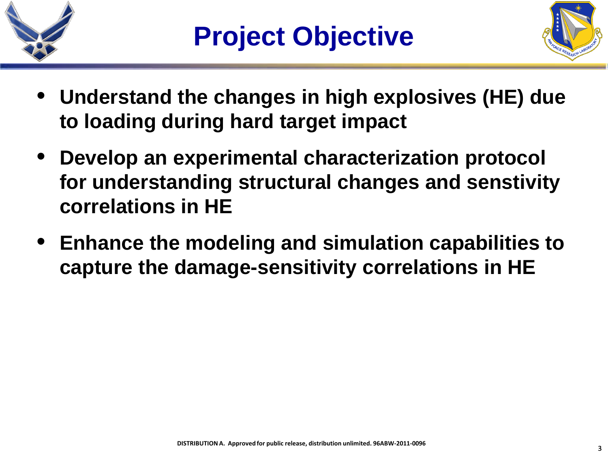



- **Understand the changes in high explosives (HE) due to loading during hard target impact**
- **Develop an experimental characterization protocol for understanding structural changes and senstivity correlations in HE**
- **Enhance the modeling and simulation capabilities to capture the damage-sensitivity correlations in HE**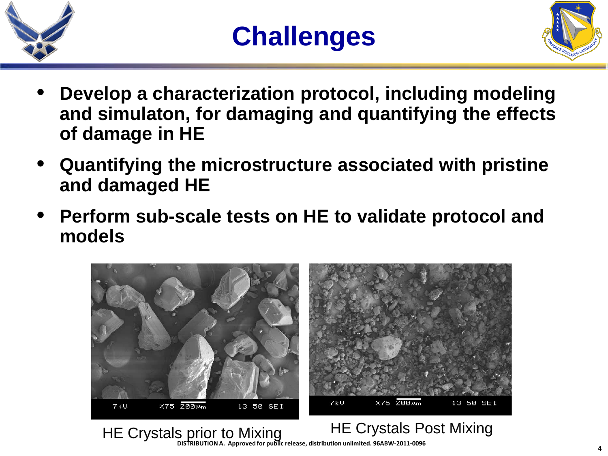



- **Develop a characterization protocol, including modeling and simulaton, for damaging and quantifying the effects of damage in HE**
- **Quantifying the microstructure associated with pristine and damaged HE**
- **Perform sub-scale tests on HE to validate protocol and models**



## HE Crystals prior to Mixing HE Crystals Post Mixing **DISTRIBUTION A. Approved for public release, distribution unlimited. 96ABW-2011-0096**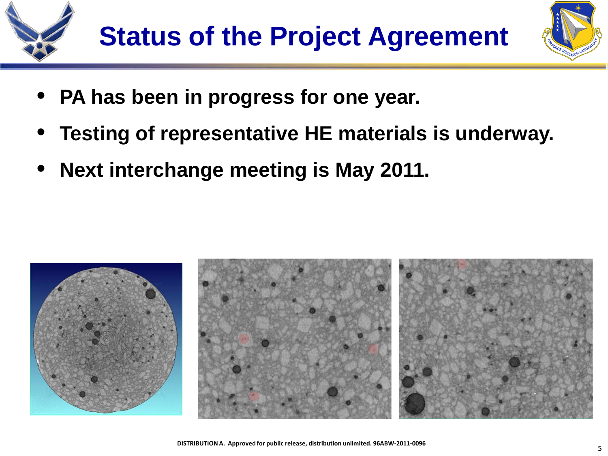



- **PA has been in progress for one year.**
- **Testing of representative HE materials is underway.**
- **Next interchange meeting is May 2011.**

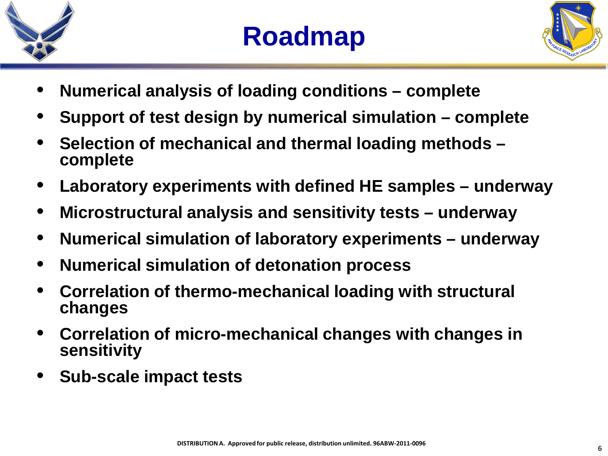



- **Numerical analysis of loading conditions – complete**
- **Support of test design by numerical simulation – complete**
- **Selection of mechanical and thermal loading methods – complete**
- **Laboratory experiments with defined HE samples – underway**
- **Microstructural analysis and sensitivity tests – underway**
- **Numerical simulation of laboratory experiments – underway**
- **Numerical simulation of detonation process**
- **Correlation of thermo-mechanical loading with structural changes**
- **Correlation of micro-mechanical changes with changes in sensitivity**
- **Sub-scale impact tests**